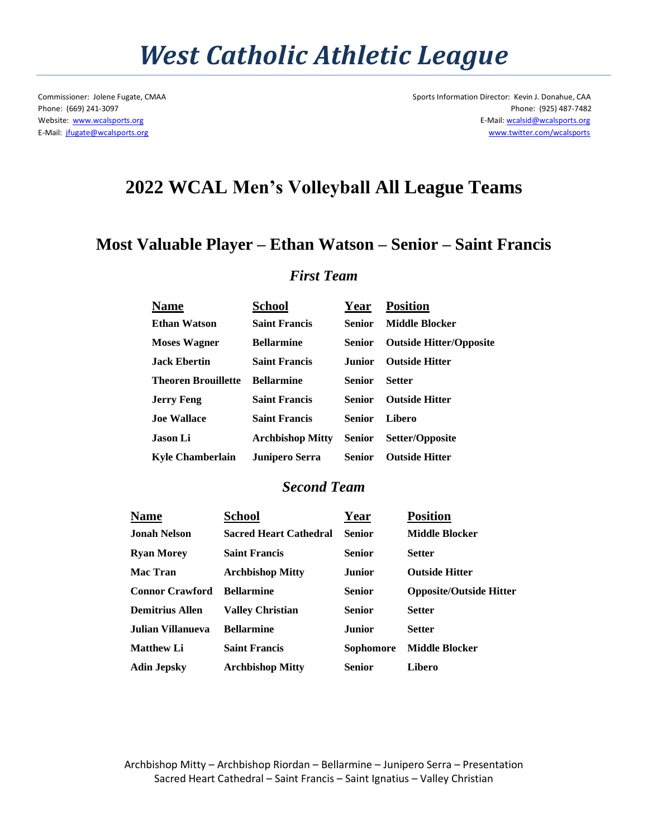## *West Catholic Athletic League*

Commissioner: Jolene Fugate, CMAA Sports Information Director: Kevin J. Donahue, CAA Phone: (669) 241-3097 Phone: (925) 487-7482 Website: [www.wcalsports.org](http://www.wcalsports.org/) examples and the example of the example of the example of the E-Mail: wcalsid@wcalsports.org E-Mail: wcalsid@wcalsports.org E-Mail: [jfugate@wcalsports.org](mailto:jfugate@wcalsports.org) [www.twitter.com/wcalsports](http://www.twitter.com/wcalsports) 

### **2022 WCAL Men's Volleyball All League Teams**

### **Most Valuable Player – Ethan Watson – Senior – Saint Francis**

### *First Team*

| <b>Name</b>                | School                | Year          | <b>Position</b>                |
|----------------------------|-----------------------|---------------|--------------------------------|
| <b>Ethan Watson</b>        | <b>Saint Francis</b>  | Senior        | <b>Middle Blocker</b>          |
| <b>Moses Wagner</b>        | <b>Bellarmine</b>     | <b>Senior</b> | <b>Outside Hitter/Opposite</b> |
| <b>Jack Ebertin</b>        | <b>Saint Francis</b>  | <b>Junior</b> | <b>Outside Hitter</b>          |
| <b>Theoren Brouillette</b> | <b>Bellarmine</b>     | Senior        | <b>Setter</b>                  |
| <b>Jerry Feng</b>          | <b>Saint Francis</b>  | Senior        | <b>Outside Hitter</b>          |
| <b>Joe Wallace</b>         | <b>Saint Francis</b>  | <b>Senior</b> | Libero                         |
| Jason Li                   | Archbishop Mitty      | Senior        | Setter/Opposite                |
| <b>Kyle Chamberlain</b>    | <b>Junipero Serra</b> | <b>Senior</b> | <b>Outside Hitter</b>          |

#### *Second Team*

| <b>Name</b>            | School                        | Year             | <b>Position</b>                |
|------------------------|-------------------------------|------------------|--------------------------------|
| <b>Jonah Nelson</b>    | <b>Sacred Heart Cathedral</b> | <b>Senior</b>    | <b>Middle Blocker</b>          |
| <b>Ryan Morey</b>      | <b>Saint Francis</b>          | <b>Senior</b>    | <b>Setter</b>                  |
| <b>Mac Tran</b>        | <b>Archbishop Mitty</b>       | <b>Junior</b>    | <b>Outside Hitter</b>          |
| <b>Connor Crawford</b> | <b>Bellarmine</b>             | <b>Senior</b>    | <b>Opposite/Outside Hitter</b> |
| <b>Demitrius Allen</b> | <b>Valley Christian</b>       | <b>Senior</b>    | <b>Setter</b>                  |
| Julian Villanueva      | <b>Bellarmine</b>             | Junior           | <b>Setter</b>                  |
| <b>Matthew Li</b>      | <b>Saint Francis</b>          | <b>Sophomore</b> | <b>Middle Blocker</b>          |
| <b>Adin Jepsky</b>     | <b>Archbishop Mitty</b>       | <b>Senior</b>    | Libero                         |